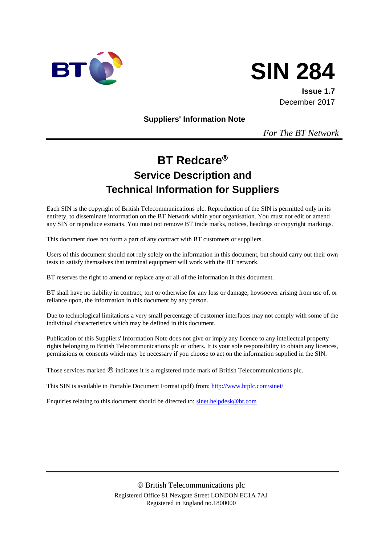



**Issue 1.7** December 2017

**Suppliers' Information Note**

*For The BT Network*

# **BT Redcare Service Description and Technical Information for Suppliers**

Each SIN is the copyright of British Telecommunications plc. Reproduction of the SIN is permitted only in its entirety, to disseminate information on the BT Network within your organisation. You must not edit or amend any SIN or reproduce extracts. You must not remove BT trade marks, notices, headings or copyright markings.

This document does not form a part of any contract with BT customers or suppliers.

Users of this document should not rely solely on the information in this document, but should carry out their own tests to satisfy themselves that terminal equipment will work with the BT network.

BT reserves the right to amend or replace any or all of the information in this document.

BT shall have no liability in contract, tort or otherwise for any loss or damage, howsoever arising from use of, or reliance upon, the information in this document by any person.

Due to technological limitations a very small percentage of customer interfaces may not comply with some of the individual characteristics which may be defined in this document.

Publication of this Suppliers' Information Note does not give or imply any licence to any intellectual property rights belonging to British Telecommunications plc or others. It is your sole responsibility to obtain any licences, permissions or consents which may be necessary if you choose to act on the information supplied in the SIN.

Those services marked  $\mathcal{R}$  indicates it is a registered trade mark of British Telecommunications plc.

This SIN is available in Portable Document Format (pdf) from[: http://www.btplc.com/sinet/](http://www.btplc.com/sinet/)

Enquiries relating to this document should be directed to: [sinet.helpdesk@bt.com](mailto:sinet.helpdesk@bt.com)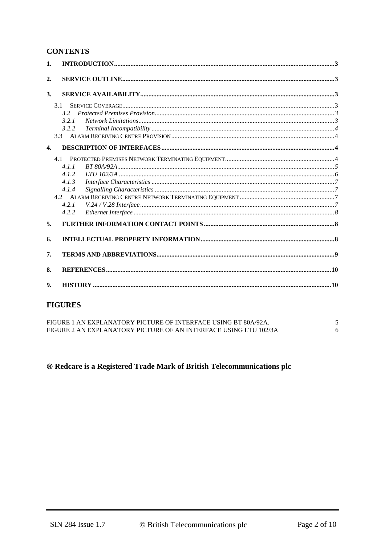#### **CONTENTS**

| 1. |       |  |  |  |  |
|----|-------|--|--|--|--|
| 2. |       |  |  |  |  |
| 3. |       |  |  |  |  |
|    | 3.1   |  |  |  |  |
|    | 32    |  |  |  |  |
|    | 3.2.1 |  |  |  |  |
|    | 3.2.2 |  |  |  |  |
|    | 3.3   |  |  |  |  |
| 4. |       |  |  |  |  |
|    |       |  |  |  |  |
|    | 4.1.1 |  |  |  |  |
|    | 4.1.2 |  |  |  |  |
|    | 4.1.3 |  |  |  |  |
|    | 4.1.4 |  |  |  |  |
|    |       |  |  |  |  |
|    | 4.2.1 |  |  |  |  |
|    | 4.2.2 |  |  |  |  |
| 5. |       |  |  |  |  |
| 6. |       |  |  |  |  |
| 7. |       |  |  |  |  |
| 8. |       |  |  |  |  |
| 9. |       |  |  |  |  |

## **FIGURES**

FIGURE 1 AN EXPLANATORY PICTURE OF INTERFACE USING BT 80A/92A.  $\mathfrak{S}$ FIGURE 2 AN EXPLANATORY PICTURE OF AN INTERFACE USING LTU 102/3A  $6\overline{6}$ 

## <sup>®</sup> Redcare is a Registered Trade Mark of British Telecommunications plc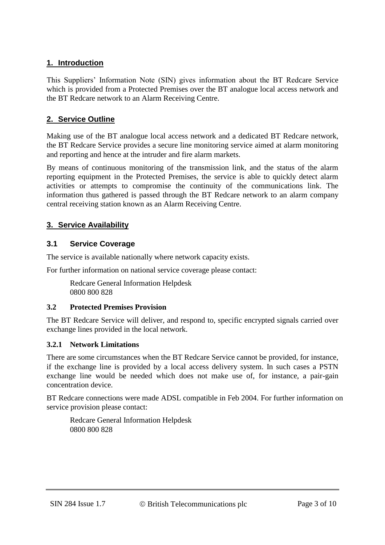## **1. Introduction**

This Suppliers' Information Note (SIN) gives information about the BT Redcare Service which is provided from a Protected Premises over the BT analogue local access network and the BT Redcare network to an Alarm Receiving Centre.

## **2. Service Outline**

Making use of the BT analogue local access network and a dedicated BT Redcare network, the BT Redcare Service provides a secure line monitoring service aimed at alarm monitoring and reporting and hence at the intruder and fire alarm markets.

By means of continuous monitoring of the transmission link, and the status of the alarm reporting equipment in the Protected Premises, the service is able to quickly detect alarm activities or attempts to compromise the continuity of the communications link. The information thus gathered is passed through the BT Redcare network to an alarm company central receiving station known as an Alarm Receiving Centre.

## **3. Service Availability**

## **3.1 Service Coverage**

The service is available nationally where network capacity exists.

For further information on national service coverage please contact:

Redcare General Information Helpdesk 0800 800 828

#### **3.2 Protected Premises Provision**

The BT Redcare Service will deliver, and respond to, specific encrypted signals carried over exchange lines provided in the local network.

#### **3.2.1 Network Limitations**

There are some circumstances when the BT Redcare Service cannot be provided, for instance, if the exchange line is provided by a local access delivery system. In such cases a PSTN exchange line would be needed which does not make use of, for instance, a pair-gain concentration device.

BT Redcare connections were made ADSL compatible in Feb 2004. For further information on service provision please contact:

Redcare General Information Helpdesk 0800 800 828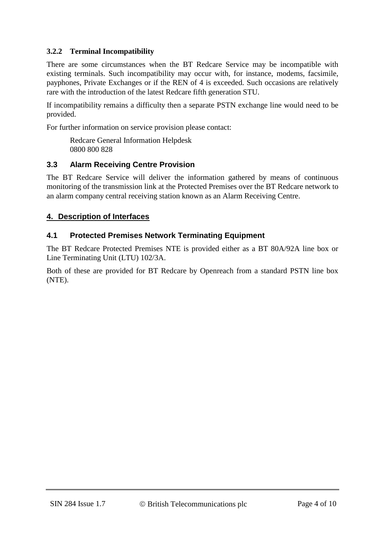## **3.2.2 Terminal Incompatibility**

There are some circumstances when the BT Redcare Service may be incompatible with existing terminals. Such incompatibility may occur with, for instance, modems, facsimile, payphones, Private Exchanges or if the REN of 4 is exceeded. Such occasions are relatively rare with the introduction of the latest Redcare fifth generation STU.

If incompatibility remains a difficulty then a separate PSTN exchange line would need to be provided.

For further information on service provision please contact:

Redcare General Information Helpdesk 0800 800 828

## **3.3 Alarm Receiving Centre Provision**

The BT Redcare Service will deliver the information gathered by means of continuous monitoring of the transmission link at the Protected Premises over the BT Redcare network to an alarm company central receiving station known as an Alarm Receiving Centre.

## **4. Description of Interfaces**

## **4.1 Protected Premises Network Terminating Equipment**

The BT Redcare Protected Premises NTE is provided either as a BT 80A/92A line box or Line Terminating Unit (LTU) 102/3A.

Both of these are provided for BT Redcare by Openreach from a standard PSTN line box (NTE).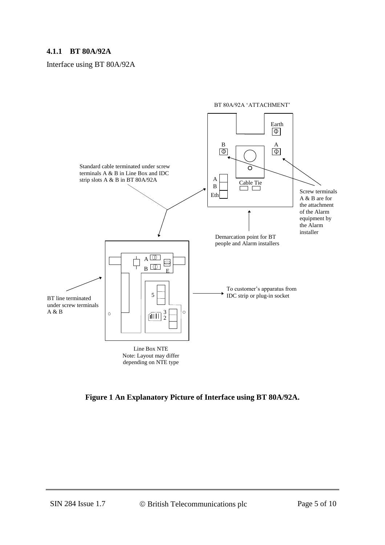#### **4.1.1 BT 80A/92A**

Interface using BT 80A/92A



**Figure 1 An Explanatory Picture of Interface using BT 80A/92A.**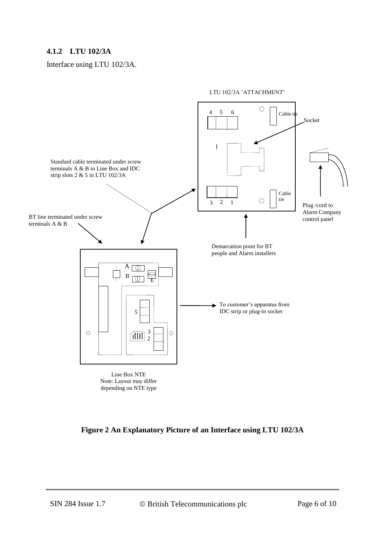## **4.1.2 LTU 102/3A**

Interface using LTU 102/3A.



**Figure 2 An Explanatory Picture of an Interface using LTU 102/3A**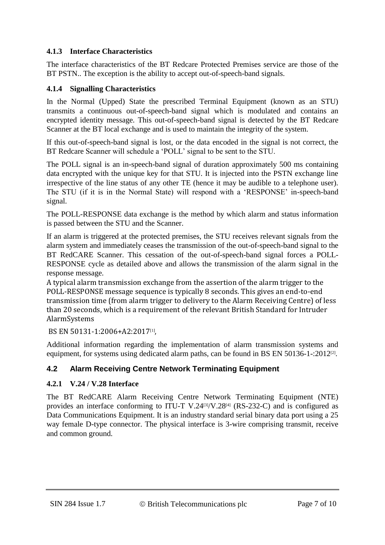## **4.1.3 Interface Characteristics**

The interface characteristics of the BT Redcare Protected Premises service are those of the BT PSTN.. The exception is the ability to accept out-of-speech-band signals.

## **4.1.4 Signalling Characteristics**

In the Normal (Upped) State the prescribed Terminal Equipment (known as an STU) transmits a continuous out-of-speech-band signal which is modulated and contains an encrypted identity message. This out-of-speech-band signal is detected by the BT Redcare Scanner at the BT local exchange and is used to maintain the integrity of the system.

If this out-of-speech-band signal is lost, or the data encoded in the signal is not correct, the BT Redcare Scanner will schedule a 'POLL' signal to be sent to the STU.

The POLL signal is an in-speech-band signal of duration approximately 500 ms containing data encrypted with the unique key for that STU. It is injected into the PSTN exchange line irrespective of the line status of any other TE (hence it may be audible to a telephone user). The STU (if it is in the Normal State) will respond with a 'RESPONSE' in-speech-band signal.

The POLL-RESPONSE data exchange is the method by which alarm and status information is passed between the STU and the Scanner.

If an alarm is triggered at the protected premises, the STU receives relevant signals from the alarm system and immediately ceases the transmission of the out-of-speech-band signal to the BT RedCARE Scanner. This cessation of the out-of-speech-band signal forces a POLL-RESPONSE cycle as detailed above and allows the transmission of the alarm signal in the response message.

A typical alarm transmission exchange from the assertion of the alarm trigger to the POLL-RESPONSE message sequence is typically 8 seconds. This gives an end-to-end transmission time (from alarm trigger to delivery to the Alarm Receiving Centre) of less than 20 seconds, which is a requirement of the relevant British Standard for Intruder AlarmSystems

BS EN 50131-1:2006+A2:2017[1],

Additional information regarding the implementation of alarm transmission systems and equipment, for systems using dedicated alarm paths, can be found in BS EN 50136-1-:2012<sup>[2]</sup>.

## **4.2 Alarm Receiving Centre Network Terminating Equipment**

#### **4.2.1 V.24 / V.28 Interface**

The BT RedCARE Alarm Receiving Centre Network Terminating Equipment (NTE) provides an interface conforming to ITU-T V.24 $[3]/V.28[4]$  (RS-232-C) and is configured as Data Communications Equipment. It is an industry standard serial binary data port using a 25 way female D-type connector. The physical interface is 3-wire comprising transmit, receive and common ground.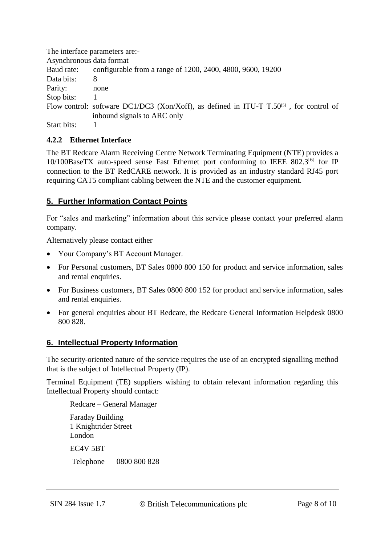|                          | The interface parameters are:-                                                                         |  |
|--------------------------|--------------------------------------------------------------------------------------------------------|--|
| Asynchronous data format |                                                                                                        |  |
| Baud rate:               | configurable from a range of 1200, 2400, 4800, 9600, 19200                                             |  |
| Data bits:               | 8                                                                                                      |  |
| Parity:                  | none                                                                                                   |  |
| Stop bits:               |                                                                                                        |  |
|                          | Flow control: software DC1/DC3 (Xon/Xoff), as defined in ITU-T $T$ .50 <sup>[5]</sup> , for control of |  |
|                          | inbound signals to ARC only                                                                            |  |
| Start bits:              |                                                                                                        |  |

## **4.2.2 Ethernet Interface**

The BT Redcare Alarm Receiving Centre Network Terminating Equipment (NTE) provides a 10/100BaseTX auto-speed sense Fast Ethernet port conforming to IEEE 802.3<sup>[6]</sup> for IP connection to the BT RedCARE network. It is provided as an industry standard RJ45 port requiring CAT5 compliant cabling between the NTE and the customer equipment.

## **5. Further Information Contact Points**

For "sales and marketing" information about this service please contact your preferred alarm company.

Alternatively please contact either

- Your Company's BT Account Manager.
- For Personal customers, BT Sales 0800 800 150 for product and service information, sales and rental enquiries.
- For Business customers, BT Sales 0800 800 152 for product and service information, sales and rental enquiries.
- For general enquiries about BT Redcare, the Redcare General Information Helpdesk 0800 800 828.

#### **6. Intellectual Property Information**

The security-oriented nature of the service requires the use of an encrypted signalling method that is the subject of Intellectual Property (IP).

Terminal Equipment (TE) suppliers wishing to obtain relevant information regarding this Intellectual Property should contact:

Redcare – General Manager Faraday Building 1 Knightrider Street London EC4V 5BT Telephone 0800 800 828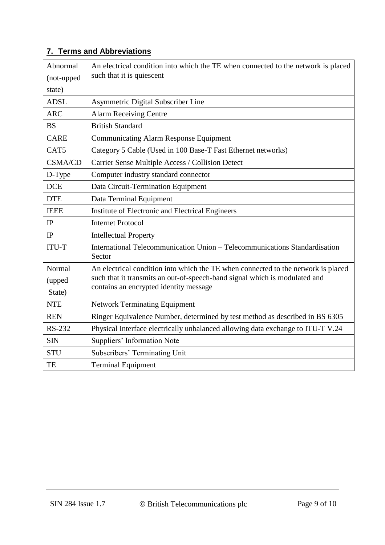## **7. Terms and Abbreviations**

| Abnormal<br>(not-upped<br>state) | An electrical condition into which the TE when connected to the network is placed<br>such that it is quiescent                                                                                            |  |  |
|----------------------------------|-----------------------------------------------------------------------------------------------------------------------------------------------------------------------------------------------------------|--|--|
| <b>ADSL</b>                      | Asymmetric Digital Subscriber Line                                                                                                                                                                        |  |  |
| <b>ARC</b>                       | <b>Alarm Receiving Centre</b>                                                                                                                                                                             |  |  |
| <b>BS</b>                        | <b>British Standard</b>                                                                                                                                                                                   |  |  |
| <b>CARE</b>                      | <b>Communicating Alarm Response Equipment</b>                                                                                                                                                             |  |  |
| CAT5                             | Category 5 Cable (Used in 100 Base-T Fast Ethernet networks)                                                                                                                                              |  |  |
| <b>CSMA/CD</b>                   | Carrier Sense Multiple Access / Collision Detect                                                                                                                                                          |  |  |
| D-Type                           | Computer industry standard connector                                                                                                                                                                      |  |  |
| <b>DCE</b>                       | Data Circuit-Termination Equipment                                                                                                                                                                        |  |  |
| <b>DTE</b>                       | Data Terminal Equipment                                                                                                                                                                                   |  |  |
| <b>IEEE</b>                      | Institute of Electronic and Electrical Engineers                                                                                                                                                          |  |  |
| IP                               | <b>Internet Protocol</b>                                                                                                                                                                                  |  |  |
| IP                               | <b>Intellectual Property</b>                                                                                                                                                                              |  |  |
| <b>ITU-T</b>                     | International Telecommunication Union - Telecommunications Standardisation<br>Sector                                                                                                                      |  |  |
| Normal<br>(upped<br>State)       | An electrical condition into which the TE when connected to the network is placed<br>such that it transmits an out-of-speech-band signal which is modulated and<br>contains an encrypted identity message |  |  |
| <b>NTE</b>                       | <b>Network Terminating Equipment</b>                                                                                                                                                                      |  |  |
| <b>REN</b>                       | Ringer Equivalence Number, determined by test method as described in BS 6305                                                                                                                              |  |  |
| <b>RS-232</b>                    | Physical Interface electrically unbalanced allowing data exchange to ITU-T V.24                                                                                                                           |  |  |
| <b>SIN</b>                       | Suppliers' Information Note                                                                                                                                                                               |  |  |
| <b>STU</b>                       | Subscribers' Terminating Unit                                                                                                                                                                             |  |  |
| TE                               | <b>Terminal Equipment</b>                                                                                                                                                                                 |  |  |